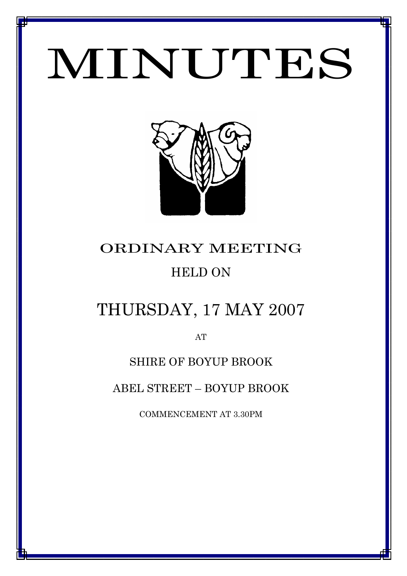# MINUTES

*MINUTES OF THE ORDINARY MEETING OF COUNCIL HELD ON 17 MAY 2007*



# ORDINARY MEETING HELD ON

# THURSDAY, 17 MAY 2007

AT

# SHIRE OF BOYUP BROOK

ABEL STREET – BOYUP BROOK

COMMENCEMENT AT 3.30PM

1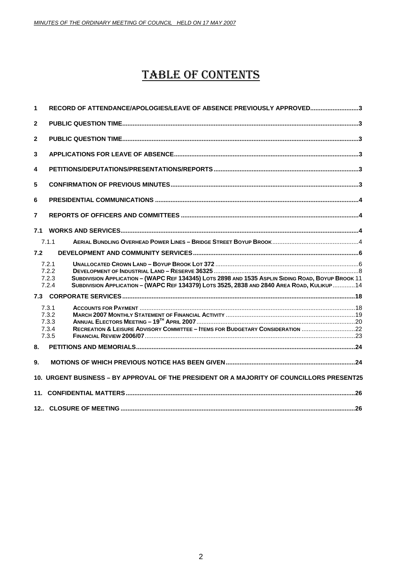# TABLE OF CONTENTS

| 1              | RECORD OF ATTENDANCE/APOLOGIES/LEAVE OF ABSENCE PREVIOUSLY APPROVED3                                                                                                                                                                |  |
|----------------|-------------------------------------------------------------------------------------------------------------------------------------------------------------------------------------------------------------------------------------|--|
| $\mathbf{2}$   |                                                                                                                                                                                                                                     |  |
| $\overline{2}$ |                                                                                                                                                                                                                                     |  |
| 3              |                                                                                                                                                                                                                                     |  |
| 4              |                                                                                                                                                                                                                                     |  |
| 5              |                                                                                                                                                                                                                                     |  |
| 6              |                                                                                                                                                                                                                                     |  |
| 7              |                                                                                                                                                                                                                                     |  |
| 7.1            |                                                                                                                                                                                                                                     |  |
|                | 7.1.1                                                                                                                                                                                                                               |  |
| 7.2            |                                                                                                                                                                                                                                     |  |
|                | 7.2.1<br>7.2.2<br>SUBDIVISION APPLICATION - (WAPC REF 134345) LOTS 2898 AND 1535 ASPLIN SIDING ROAD, BOYUP BROOK 11<br>7.2.3<br>SUBDIVISION APPLICATION - (WAPC REF 134379) LOTS 3525, 2838 AND 2840 AREA ROAD, KULIKUP 14<br>7.2.4 |  |
|                |                                                                                                                                                                                                                                     |  |
|                | 7.3.1<br>7.3.2<br>7.3.3<br>RECREATION & LEISURE ADVISORY COMMITTEE - ITEMS FOR BUDGETARY CONSIDERATION<br>7.3.4<br>7.3.5                                                                                                            |  |
| 8.             |                                                                                                                                                                                                                                     |  |
| 9.             |                                                                                                                                                                                                                                     |  |
|                | 10. URGENT BUSINESS - BY APPROVAL OF THE PRESIDENT OR A MAJORITY OF COUNCILLORS PRESENT25                                                                                                                                           |  |
| 11.            |                                                                                                                                                                                                                                     |  |
|                |                                                                                                                                                                                                                                     |  |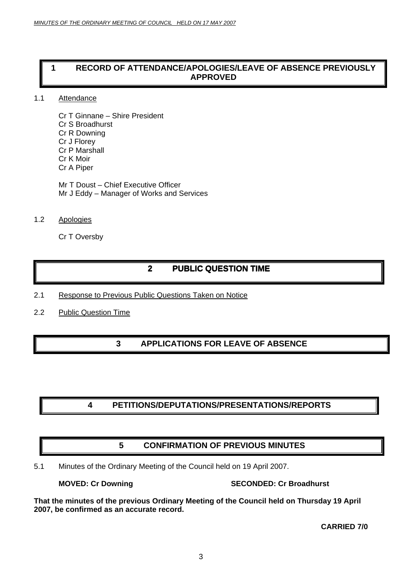# <span id="page-2-0"></span>**1 RECORD OF ATTENDANCE/APOLOGIES/LEAVE OF ABSENCE PREVIOUSLY APPROVED**

# 1.1 Attendance

Cr T Ginnane – Shire President Cr S Broadhurst Cr R Downing Cr J Florey Cr P Marshall Cr K Moir Cr A Piper

Mr T Doust – Chief Executive Officer Mr J Eddy – Manager of Works and Services

# 1.2 Apologies

Cr T Oversby

# **2 PUBLIC QUESTION TIME**

- 2.1 Response to Previous Public Questions Taken on Notice
- 2.2 Public Question Time

# **3 APPLICATIONS FOR LEAVE OF ABSENCE**

# **4 PETITIONS/DEPUTATIONS/PRESENTATIONS/REPORTS**

# **5 CONFIRMATION OF PREVIOUS MINUTES**

5.1 Minutes of the Ordinary Meeting of the Council held on 19 April 2007.

**MOVED: Cr Downing The SECONDED: Cr Broadhurst** 

**That the minutes of the previous Ordinary Meeting of the Council held on Thursday 19 April 2007, be confirmed as an accurate record.** 

**CARRIED 7/0**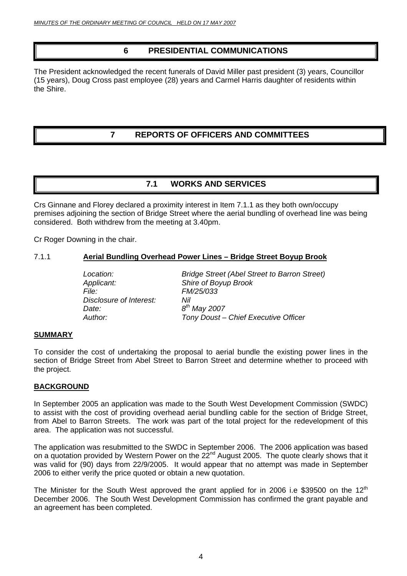# **6 PRESIDENTIAL COMMUNICATIONS**

<span id="page-3-0"></span>The President acknowledged the recent funerals of David Miller past president (3) years, Councillor (15 years), Doug Cross past employee (28) years and Carmel Harris daughter of residents within the Shire.

# **7 REPORTS OF OFFICERS AND COMMITTEES**

# **7.1 WORKS AND SERVICES**

Crs Ginnane and Florey declared a proximity interest in Item 7.1.1 as they both own/occupy premises adjoining the section of Bridge Street where the aerial bundling of overhead line was being considered. Both withdrew from the meeting at 3.40pm.

Cr Roger Downing in the chair.

# 7.1.1 **Aerial Bundling Overhead Power Lines – Bridge Street Boyup Brook**

*Location: Bridge Street (Abel Street to Barron Street) Applicant: Shire of Boyup Brook File: FM/25/033 Disclosure of Interest: Nil Date: 8th May 2007 Author: Tony Doust – Chief Executive Officer* 

# **SUMMARY**

To consider the cost of undertaking the proposal to aerial bundle the existing power lines in the section of Bridge Street from Abel Street to Barron Street and determine whether to proceed with the project.

# **BACKGROUND**

In September 2005 an application was made to the South West Development Commission (SWDC) to assist with the cost of providing overhead aerial bundling cable for the section of Bridge Street, from Abel to Barron Streets. The work was part of the total project for the redevelopment of this area. The application was not successful.

The application was resubmitted to the SWDC in September 2006. The 2006 application was based on a quotation provided by Western Power on the  $22<sup>nd</sup>$  August 2005. The quote clearly shows that it was valid for (90) days from 22/9/2005. It would appear that no attempt was made in September 2006 to either verify the price quoted or obtain a new quotation.

The Minister for the South West approved the grant applied for in 2006 i.e \$39500 on the 12<sup>th</sup> December 2006. The South West Development Commission has confirmed the grant payable and an agreement has been completed.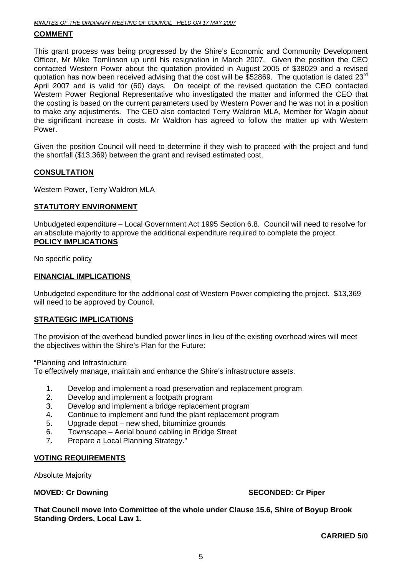# **COMMENT**

This grant process was being progressed by the Shire's Economic and Community Development Officer, Mr Mike Tomlinson up until his resignation in March 2007. Given the position the CEO contacted Western Power about the quotation provided in August 2005 of \$38029 and a revised quotation has now been received advising that the cost will be \$52869. The quotation is dated  $23<sup>rd</sup>$ April 2007 and is valid for (60) days. On receipt of the revised quotation the CEO contacted Western Power Regional Representative who investigated the matter and informed the CEO that the costing is based on the current parameters used by Western Power and he was not in a position to make any adjustments. The CEO also contacted Terry Waldron MLA, Member for Wagin about the significant increase in costs. Mr Waldron has agreed to follow the matter up with Western Power.

Given the position Council will need to determine if they wish to proceed with the project and fund the shortfall (\$13,369) between the grant and revised estimated cost.

# **CONSULTATION**

Western Power, Terry Waldron MLA

# **STATUTORY ENVIRONMENT**

Unbudgeted expenditure – Local Government Act 1995 Section 6.8. Council will need to resolve for an absolute majority to approve the additional expenditure required to complete the project. **POLICY IMPLICATIONS**

No specific policy

# **FINANCIAL IMPLICATIONS**

Unbudgeted expenditure for the additional cost of Western Power completing the project. \$13,369 will need to be approved by Council.

# **STRATEGIC IMPLICATIONS**

The provision of the overhead bundled power lines in lieu of the existing overhead wires will meet the objectives within the Shire's Plan for the Future:

"Planning and Infrastructure

To effectively manage, maintain and enhance the Shire's infrastructure assets.

- 1. Develop and implement a road preservation and replacement program
- 2. Develop and implement a footpath program
- 3. Develop and implement a bridge replacement program
- 4. Continue to implement and fund the plant replacement program
- 5. Upgrade depot new shed, bituminize grounds
- 6. Townscape Aerial bound cabling in Bridge Street
- 7. Prepare a Local Planning Strategy."

# **VOTING REQUIREMENTS**

Absolute Majority

**MOVED: Cr Downing Case 2008 Contract Account SECONDED: Cr Piper and SECONDED: Cr Piper** 

**That Council move into Committee of the whole under Clause 15.6, Shire of Boyup Brook Standing Orders, Local Law 1.** 

**CARRIED 5/0**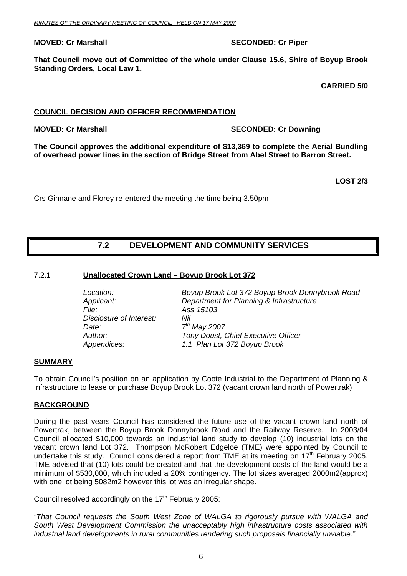# <span id="page-5-0"></span>**MOVED: Cr Marshall SECONDED: Cr Piper**

**That Council move out of Committee of the whole under Clause 15.6, Shire of Boyup Brook Standing Orders, Local Law 1.** 

**CARRIED 5/0** 

# **COUNCIL DECISION AND OFFICER RECOMMENDATION**

# **MOVED: Cr Marshall SECONDED: Cr Downing COVED: Cr Downing ATT ATT SECONDED: Cr Downing 2016**

**The Council approves the additional expenditure of \$13,369 to complete the Aerial Bundling of overhead power lines in the section of Bridge Street from Abel Street to Barron Street.** 

**LOST 2/3** 

Crs Ginnane and Florey re-entered the meeting the time being 3.50pm

# **7.2 DEVELOPMENT AND COMMUNITY SERVICES**

# 7.2.1 **Unallocated Crown Land – Boyup Brook Lot 372**

| Boyup Brook Lot 372 Boyup Brook Donnybrook Road |
|-------------------------------------------------|
| Department for Planning & Infrastructure        |
| Ass 15103                                       |
| Nil                                             |
| $7th$ May 2007                                  |
| Tony Doust, Chief Executive Officer             |
| 1.1 Plan Lot 372 Boyup Brook                    |
|                                                 |

# **SUMMARY**

To obtain Council's position on an application by Coote Industrial to the Department of Planning & Infrastructure to lease or purchase Boyup Brook Lot 372 (vacant crown land north of Powertrak)

# **BACKGROUND**

During the past years Council has considered the future use of the vacant crown land north of Powertrak, between the Boyup Brook Donnybrook Road and the Railway Reserve. In 2003/04 Council allocated \$10,000 towards an industrial land study to develop (10) industrial lots on the vacant crown land Lot 372. Thompson McRobert Edgeloe (TME) were appointed by Council to undertake this study. Council considered a report from TME at its meeting on  $17<sup>th</sup>$  February 2005. TME advised that (10) lots could be created and that the development costs of the land would be a minimum of \$530,000, which included a 20% contingency. The lot sizes averaged 2000m2(approx) with one lot being 5082m2 however this lot was an irregular shape.

Council resolved accordingly on the  $17<sup>th</sup>$  February 2005:

*"That Council requests the South West Zone of WALGA to rigorously pursue with WALGA and South West Development Commission the unacceptably high infrastructure costs associated with industrial land developments in rural communities rendering such proposals financially unviable."*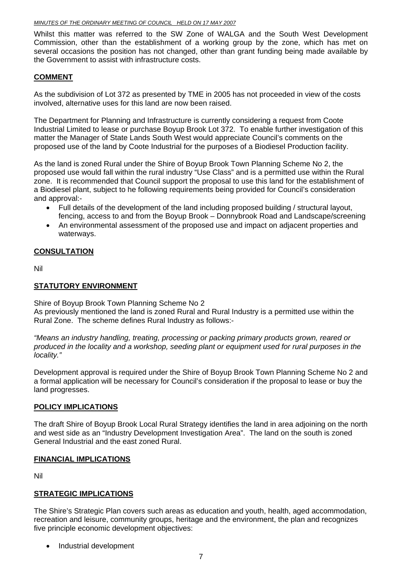Whilst this matter was referred to the SW Zone of WALGA and the South West Development Commission, other than the establishment of a working group by the zone, which has met on several occasions the position has not changed, other than grant funding being made available by the Government to assist with infrastructure costs.

# **COMMENT**

As the subdivision of Lot 372 as presented by TME in 2005 has not proceeded in view of the costs involved, alternative uses for this land are now been raised.

The Department for Planning and Infrastructure is currently considering a request from Coote Industrial Limited to lease or purchase Boyup Brook Lot 372. To enable further investigation of this matter the Manager of State Lands South West would appreciate Council's comments on the proposed use of the land by Coote Industrial for the purposes of a Biodiesel Production facility.

As the land is zoned Rural under the Shire of Boyup Brook Town Planning Scheme No 2, the proposed use would fall within the rural industry "Use Class" and is a permitted use within the Rural zone. It is recommended that Council support the proposal to use this land for the establishment of a Biodiesel plant, subject to he following requirements being provided for Council's consideration and approval:-

- Full details of the development of the land including proposed building / structural layout, fencing, access to and from the Boyup Brook – Donnybrook Road and Landscape/screening
- An environmental assessment of the proposed use and impact on adjacent properties and waterways.

# **CONSULTATION**

Nil

# **STATUTORY ENVIRONMENT**

Shire of Boyup Brook Town Planning Scheme No 2

As previously mentioned the land is zoned Rural and Rural Industry is a permitted use within the Rural Zone. The scheme defines Rural Industry as follows:-

*"Means an industry handling, treating, processing or packing primary products grown, reared or produced in the locality and a workshop, seeding plant or equipment used for rural purposes in the locality."* 

Development approval is required under the Shire of Boyup Brook Town Planning Scheme No 2 and a formal application will be necessary for Council's consideration if the proposal to lease or buy the land progresses.

# **POLICY IMPLICATIONS**

The draft Shire of Boyup Brook Local Rural Strategy identifies the land in area adjoining on the north and west side as an "Industry Development Investigation Area". The land on the south is zoned General Industrial and the east zoned Rural.

# **FINANCIAL IMPLICATIONS**

Nil

# **STRATEGIC IMPLICATIONS**

The Shire's Strategic Plan covers such areas as education and youth, health, aged accommodation, recreation and leisure, community groups, heritage and the environment, the plan and recognizes five principle economic development objectives:

• Industrial development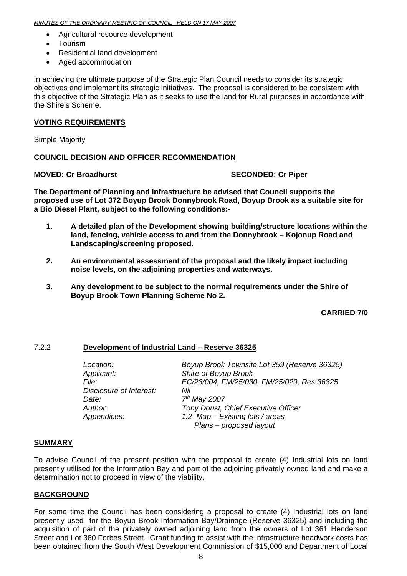- <span id="page-7-0"></span>• Agricultural resource development
- Tourism
- Residential land development
- Aged accommodation

In achieving the ultimate purpose of the Strategic Plan Council needs to consider its strategic objectives and implement its strategic initiatives. The proposal is considered to be consistent with this objective of the Strategic Plan as it seeks to use the land for Rural purposes in accordance with the Shire's Scheme.

# **VOTING REQUIREMENTS**

Simple Majority

# **COUNCIL DECISION AND OFFICER RECOMMENDATION**

# **MOVED: Cr Broadhurst SECONDED: Cr Piper**

**The Department of Planning and Infrastructure be advised that Council supports the proposed use of Lot 372 Boyup Brook Donnybrook Road, Boyup Brook as a suitable site for a Bio Diesel Plant, subject to the following conditions:-** 

- **1. A detailed plan of the Development showing building/structure locations within the land, fencing, vehicle access to and from the Donnybrook – Kojonup Road and Landscaping/screening proposed.**
- **2. An environmental assessment of the proposal and the likely impact including noise levels, on the adjoining properties and waterways.**
- **3. Any development to be subject to the normal requirements under the Shire of Boyup Brook Town Planning Scheme No 2.**

# **CARRIED 7/0**

# 7.2.2 **Development of Industrial Land – Reserve 36325**

| Location:               | Boyup Brook Townsite Lot 359 (Reserve 36325) |
|-------------------------|----------------------------------------------|
| Applicant:              | Shire of Boyup Brook                         |
| File:                   | EC/23/004, FM/25/030, FM/25/029, Res 36325   |
| Disclosure of Interest: | Nil                                          |
| Date:                   | $7th$ May 2007                               |
| Author:                 | Tony Doust, Chief Executive Officer          |
| Appendices:             | 1.2 Map - Existing lots / areas              |
|                         | Plans - proposed layout                      |

# **SUMMARY**

To advise Council of the present position with the proposal to create (4) Industrial lots on land presently utilised for the Information Bay and part of the adjoining privately owned land and make a determination not to proceed in view of the viability.

# **BACKGROUND**

For some time the Council has been considering a proposal to create (4) Industrial lots on land presently used for the Boyup Brook Information Bay/Drainage (Reserve 36325) and including the acquisition of part of the privately owned adjoining land from the owners of Lot 361 Henderson Street and Lot 360 Forbes Street. Grant funding to assist with the infrastructure headwork costs has been obtained from the South West Development Commission of \$15,000 and Department of Local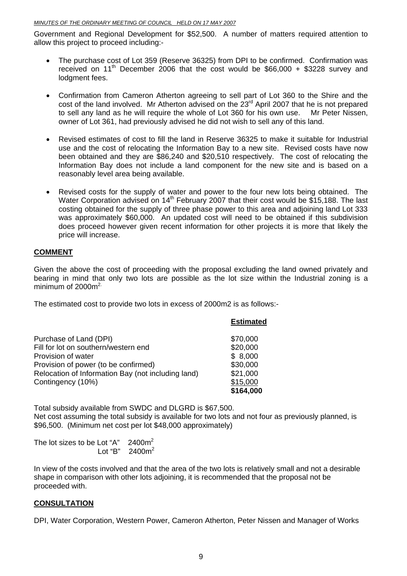### *MINUTES OF THE ORDINARY MEETING OF COUNCIL HELD ON 17 MAY 2007*

Government and Regional Development for \$52,500. A number of matters required attention to allow this project to proceed including:-

- The purchase cost of Lot 359 (Reserve 36325) from DPI to be confirmed. Confirmation was received on 11<sup>th</sup> December 2006 that the cost would be \$66,000 + \$3228 survey and lodgment fees.
- Confirmation from Cameron Atherton agreeing to sell part of Lot 360 to the Shire and the cost of the land involved. Mr Atherton advised on the 23<sup>rd</sup> April 2007 that he is not prepared to sell any land as he will require the whole of Lot 360 for his own use. Mr Peter Nissen, owner of Lot 361, had previously advised he did not wish to sell any of this land.
- Revised estimates of cost to fill the land in Reserve 36325 to make it suitable for Industrial use and the cost of relocating the Information Bay to a new site. Revised costs have now been obtained and they are \$86,240 and \$20,510 respectively. The cost of relocating the Information Bay does not include a land component for the new site and is based on a reasonably level area being available.
- Revised costs for the supply of water and power to the four new lots being obtained. The Water Corporation advised on 14<sup>th</sup> February 2007 that their cost would be \$15,188. The last costing obtained for the supply of three phase power to this area and adjoining land Lot 333 was approximately \$60,000. An updated cost will need to be obtained if this subdivision does proceed however given recent information for other projects it is more that likely the price will increase.

# **COMMENT**

Given the above the cost of proceeding with the proposal excluding the land owned privately and bearing in mind that only two lots are possible as the lot size within the Industrial zoning is a minimum of  $2000m^2$ .

The estimated cost to provide two lots in excess of 2000m2 is as follows:-

|                                                    | <b>Estimated</b> |
|----------------------------------------------------|------------------|
| Purchase of Land (DPI)                             | \$70,000         |
| Fill for lot on southern/western end               | \$20,000         |
| Provision of water                                 | \$8,000          |
| Provision of power (to be confirmed)               | \$30,000         |
| Relocation of Information Bay (not including land) | \$21,000         |
| Contingency (10%)                                  | \$15,000         |
|                                                    | \$164,000        |

Total subsidy available from SWDC and DLGRD is \$67,500. Net cost assuming the total subsidy is available for two lots and not four as previously planned, is \$96,500. (Minimum net cost per lot \$48,000 approximately)

The lot sizes to be Lot "A"  $2400m^2$  $\textsf{Lot ``B''} \quad 2400 \textsf{m}^2$ 

In view of the costs involved and that the area of the two lots is relatively small and not a desirable shape in comparison with other lots adjoining, it is recommended that the proposal not be proceeded with.

# **CONSULTATION**

DPI, Water Corporation, Western Power, Cameron Atherton, Peter Nissen and Manager of Works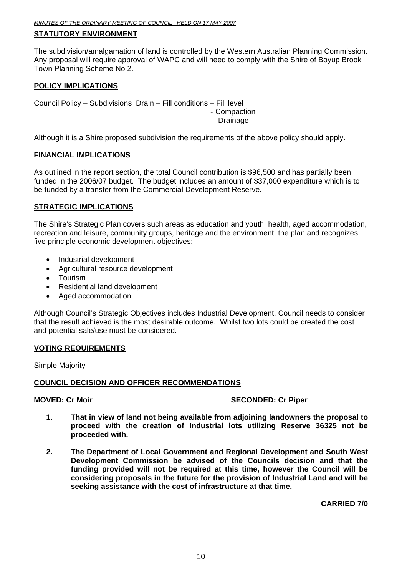# **STATUTORY ENVIRONMENT**

The subdivision/amalgamation of land is controlled by the Western Australian Planning Commission. Any proposal will require approval of WAPC and will need to comply with the Shire of Boyup Brook Town Planning Scheme No 2.

# **POLICY IMPLICATIONS**

Council Policy – Subdivisions Drain – Fill conditions – Fill level

- Compaction

- Drainage

Although it is a Shire proposed subdivision the requirements of the above policy should apply.

# **FINANCIAL IMPLICATIONS**

As outlined in the report section, the total Council contribution is \$96,500 and has partially been funded in the 2006/07 budget. The budget includes an amount of \$37,000 expenditure which is to be funded by a transfer from the Commercial Development Reserve.

# **STRATEGIC IMPLICATIONS**

The Shire's Strategic Plan covers such areas as education and youth, health, aged accommodation, recreation and leisure, community groups, heritage and the environment, the plan and recognizes five principle economic development objectives:

- Industrial development
- Agricultural resource development
- Tourism
- Residential land development
- Aged accommodation

Although Council's Strategic Objectives includes Industrial Development, Council needs to consider that the result achieved is the most desirable outcome. Whilst two lots could be created the cost and potential sale/use must be considered.

# **VOTING REQUIREMENTS**

Simple Majority

# **COUNCIL DECISION AND OFFICER RECOMMENDATIONS**

# **MOVED: Cr Moir** SECONDED: Cr Piper

- **1. That in view of land not being available from adjoining landowners the proposal to proceed with the creation of Industrial lots utilizing Reserve 36325 not be proceeded with.**
- **2. The Department of Local Government and Regional Development and South West Development Commission be advised of the Councils decision and that the funding provided will not be required at this time, however the Council will be considering proposals in the future for the provision of Industrial Land and will be seeking assistance with the cost of infrastructure at that time.**

**CARRIED 7/0**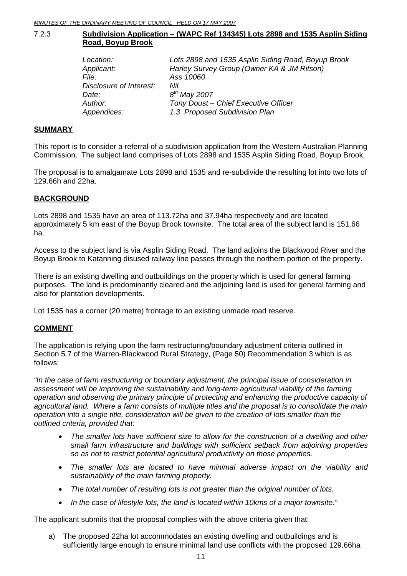# <span id="page-10-0"></span>7.2.3 **Subdivision Application – (WAPC Ref 134345) Lots 2898 and 1535 Asplin Siding Road, Boyup Brook**

| Location:               | Lots 2898 and 1535 Asplin Siding Road, Boyup Brook |
|-------------------------|----------------------------------------------------|
| Applicant:              | Harley Survey Group (Owner KA & JM Ritson)         |
| <i>File:</i>            | Ass 10060                                          |
| Disclosure of Interest: | Nil                                                |
| Date:                   | $8^{th}$ May 2007                                  |
| Author:                 | Tony Doust - Chief Executive Officer               |
| Appendices:             | 1.3 Proposed Subdivision Plan                      |

# **SUMMARY**

This report is to consider a referral of a subdivision application from the Western Australian Planning Commission. The subject land comprises of Lots 2898 and 1535 Asplin Siding Road, Boyup Brook.

The proposal is to amalgamate Lots 2898 and 1535 and re-subdivide the resulting lot into two lots of 129.66h and 22ha.

# **BACKGROUND**

Lots 2898 and 1535 have an area of 113.72ha and 37.94ha respectively and are located approximately 5 km east of the Boyup Brook townsite. The total area of the subject land is 151.66 ha.

Access to the subject land is via Asplin Siding Road. The land adjoins the Blackwood River and the Boyup Brook to Katanning disused railway line passes through the northern portion of the property.

There is an existing dwelling and outbuildings on the property which is used for general farming purposes. The land is predominantly cleared and the adjoining land is used for general farming and also for plantation developments.

Lot 1535 has a corner (20 metre) frontage to an existing unmade road reserve.

# **COMMENT**

The application is relying upon the farm restructuring/boundary adjustment criteria outlined in Section 5.7 of the Warren-Blackwood Rural Strategy, (Page 50) Recommendation 3 which is as follows:

*"In the case of farm restructuring or boundary adjustment, the principal issue of consideration in assessment will be improving the sustainability and long-term agricultural viability of the farming operation and observing the primary principle of protecting and enhancing the productive capacity of agricultural land. Where a farm consists of multiple titles and the proposal is to consolidate the main operation into a single title, consideration will be given to the creation of lots smaller than the outlined criteria, provided that:* 

- *The smaller lots have sufficient size to allow for the construction of a dwelling and other small farm infrastructure and buildings with sufficient setback from adjoining properties so as not to restrict potential agricultural productivity on those properties.*
- *The smaller lots are located to have minimal adverse impact on the viability and sustainability of the main farming property.*
- *The total number of resulting lots is not greater than the original number of lots.*
- *In the case of lifestyle lots, the land is located within 10kms of a major townsite."*

The applicant submits that the proposal complies with the above criteria given that:

a) The proposed 22ha lot accommodates an existing dwelling and outbuildings and is sufficiently large enough to ensure minimal land use conflicts with the proposed 129.66ha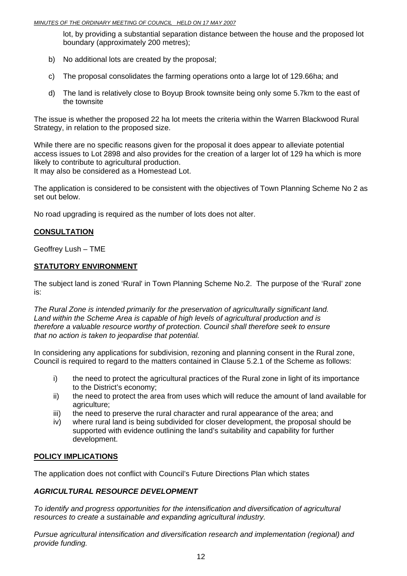lot, by providing a substantial separation distance between the house and the proposed lot boundary (approximately 200 metres);

- b) No additional lots are created by the proposal;
- c) The proposal consolidates the farming operations onto a large lot of 129.66ha; and
- d) The land is relatively close to Boyup Brook townsite being only some 5.7km to the east of the townsite

The issue is whether the proposed 22 ha lot meets the criteria within the Warren Blackwood Rural Strategy, in relation to the proposed size.

While there are no specific reasons given for the proposal it does appear to alleviate potential access issues to Lot 2898 and also provides for the creation of a larger lot of 129 ha which is more likely to contribute to agricultural production. It may also be considered as a Homestead Lot.

The application is considered to be consistent with the objectives of Town Planning Scheme No 2 as set out below.

No road upgrading is required as the number of lots does not alter.

# **CONSULTATION**

Geoffrey Lush – TME

# **STATUTORY ENVIRONMENT**

The subject land is zoned 'Rural' in Town Planning Scheme No.2. The purpose of the 'Rural' zone is:

*The Rural Zone is intended primarily for the preservation of agriculturally significant land. Land within the Scheme Area is capable of high levels of agricultural production and is therefore a valuable resource worthy of protection. Council shall therefore seek to ensure that no action is taken to jeopardise that potential.* 

In considering any applications for subdivision, rezoning and planning consent in the Rural zone, Council is required to regard to the matters contained in Clause 5.2.1 of the Scheme as follows:

- i) the need to protect the agricultural practices of the Rural zone in light of its importance to the District's economy;
- ii) the need to protect the area from uses which will reduce the amount of land available for agriculture;
- iii) the need to preserve the rural character and rural appearance of the area; and
- iv) where rural land is being subdivided for closer development, the proposal should be supported with evidence outlining the land's suitability and capability for further development.

# **POLICY IMPLICATIONS**

The application does not conflict with Council's Future Directions Plan which states

# *AGRICULTURAL RESOURCE DEVELOPMENT*

*To identify and progress opportunities for the intensification and diversification of agricultural resources to create a sustainable and expanding agricultural industry.* 

 *Pursue agricultural intensification and diversification research and implementation (regional) and provide funding.*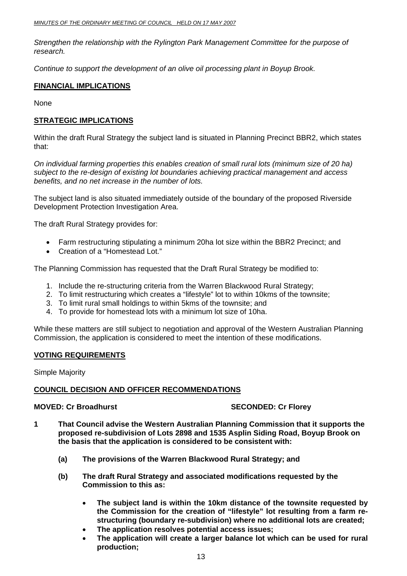*Strengthen the relationship with the Rylington Park Management Committee for the purpose of research.* 

 *Continue to support the development of an olive oil processing plant in Boyup Brook.* 

# **FINANCIAL IMPLICATIONS**

None

# **STRATEGIC IMPLICATIONS**

Within the draft Rural Strategy the subject land is situated in Planning Precinct BBR2, which states that:

*On individual farming properties this enables creation of small rural lots (minimum size of 20 ha) subject to the re-design of existing lot boundaries achieving practical management and access benefits, and no net increase in the number of lots.* 

The subject land is also situated immediately outside of the boundary of the proposed Riverside Development Protection Investigation Area.

The draft Rural Strategy provides for:

- Farm restructuring stipulating a minimum 20ha lot size within the BBR2 Precinct; and
- Creation of a "Homestead Lot."

The Planning Commission has requested that the Draft Rural Strategy be modified to:

- 1. Include the re-structuring criteria from the Warren Blackwood Rural Strategy;
- 2. To limit restructuring which creates a "lifestyle" lot to within 10kms of the townsite;
- 3. To limit rural small holdings to within 5kms of the townsite; and
- 4. To provide for homestead lots with a minimum lot size of 10ha.

While these matters are still subject to negotiation and approval of the Western Australian Planning Commission, the application is considered to meet the intention of these modifications.

# **VOTING REQUIREMENTS**

Simple Majority

# **COUNCIL DECISION AND OFFICER RECOMMENDATIONS**

# **MOVED: Cr Broadhurst SECONDED: Cr Florey ATTLE SECONDED: Cr Florey ATTLE**

- **1 That Council advise the Western Australian Planning Commission that it supports the proposed re-subdivision of Lots 2898 and 1535 Asplin Siding Road, Boyup Brook on the basis that the application is considered to be consistent with:** 
	- **(a) The provisions of the Warren Blackwood Rural Strategy; and**
	- **(b) The draft Rural Strategy and associated modifications requested by the Commission to this as:** 
		- **The subject land is within the 10km distance of the townsite requested by the Commission for the creation of "lifestyle" lot resulting from a farm restructuring (boundary re-subdivision) where no additional lots are created;**
		- **The application resolves potential access issues;**
		- **The application will create a larger balance lot which can be used for rural production;**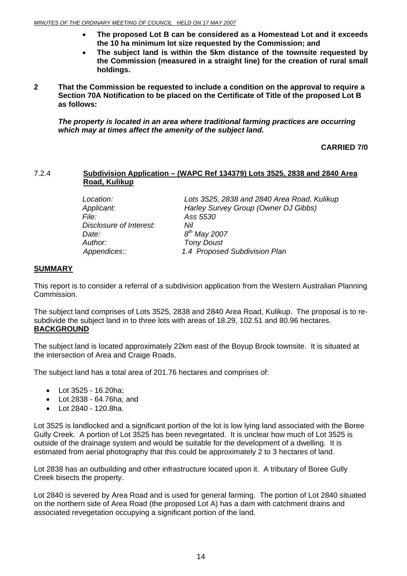- <span id="page-13-0"></span>• **The proposed Lot B can be considered as a Homestead Lot and it exceeds the 10 ha minimum lot size requested by the Commission; and**
- **The subject land is within the 5km distance of the townsite requested by the Commission (measured in a straight line) for the creation of rural small holdings.**
- **2 That the Commission be requested to include a condition on the approval to require a Section 70A Notification to be placed on the Certificate of Title of the proposed Lot B as follows:**

*The property is located in an area where traditional farming practices are occurring which may at times affect the amenity of the subject land.* 

**CARRIED 7/0** 

# 7.2.4 **Subdivision Application – (WAPC Ref 134379) Lots 3525, 2838 and 2840 Area Road, Kulikup**

| Location:               | Lots 3525, 2838 and 2840 Area Road, Kulikup |
|-------------------------|---------------------------------------------|
| Applicant:              | Harley Survey Group (Owner DJ Gibbs)        |
| <i>File:</i>            | Ass 5530                                    |
| Disclosure of Interest: | Nil                                         |
| Date:                   | $8^{th}$ May 2007                           |
| Author:                 | <b>Tony Doust</b>                           |
| Appendices::            | 1.4 Proposed Subdivision Plan               |

# **SUMMARY**

This report is to consider a referral of a subdivision application from the Western Australian Planning Commission.

The subject land comprises of Lots 3525, 2838 and 2840 Area Road, Kulikup. The proposal is to resubdivide the subject land in to three lots with areas of 18.29, 102.51 and 80.96 hectares. **BACKGROUND**

The subject land is located approximately 22km east of the Boyup Brook townsite. It is situated at the intersection of Area and Craige Roads.

The subject land has a total area of 201.76 hectares and comprises of:

- Lot 3525 16.20ha;
- Lot 2838 64.76ha; and
- Lot 2840 120.8ha.

Lot 3525 is landlocked and a significant portion of the lot is low lying land associated with the Boree Gully Creek. A portion of Lot 3525 has been revegetated. It is unclear how much of Lot 3525 is outside of the drainage system and would be suitable for the development of a dwelling. It is estimated from aerial photography that this could be approximately 2 to 3 hectares of land.

Lot 2838 has an outbuilding and other infrastructure located upon it. A tributary of Boree Gully Creek bisects the property.

Lot 2840 is severed by Area Road and is used for general farming. The portion of Lot 2840 situated on the northern side of Area Road (the proposed Lot A) has a dam with catchment drains and associated revegetation occupying a significant portion of the land.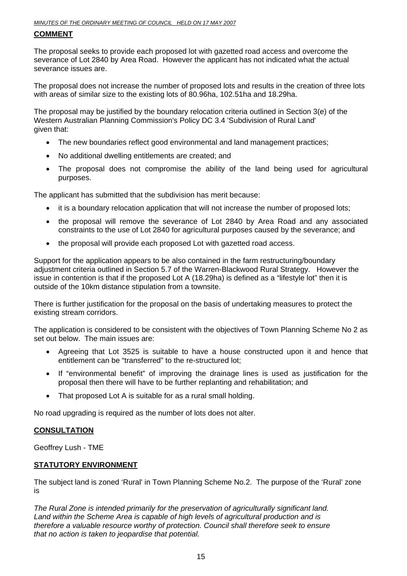# **COMMENT**

The proposal seeks to provide each proposed lot with gazetted road access and overcome the severance of Lot 2840 by Area Road. However the applicant has not indicated what the actual severance issues are.

The proposal does not increase the number of proposed lots and results in the creation of three lots with areas of similar size to the existing lots of 80.96ha, 102.51ha and 18.29ha.

The proposal may be justified by the boundary relocation criteria outlined in Section 3(e) of the Western Australian Planning Commission's Policy DC 3.4 'Subdivision of Rural Land' given that:

- The new boundaries reflect good environmental and land management practices;
- No additional dwelling entitlements are created; and
- The proposal does not compromise the ability of the land being used for agricultural purposes.

The applicant has submitted that the subdivision has merit because:

- it is a boundary relocation application that will not increase the number of proposed lots;
- the proposal will remove the severance of Lot 2840 by Area Road and any associated constraints to the use of Lot 2840 for agricultural purposes caused by the severance; and
- the proposal will provide each proposed Lot with gazetted road access.

Support for the application appears to be also contained in the farm restructuring/boundary adjustment criteria outlined in Section 5.7 of the Warren-Blackwood Rural Strategy. However the issue in contention is that if the proposed Lot A (18.29ha) is defined as a "lifestyle lot" then it is outside of the 10km distance stipulation from a townsite.

There is further justification for the proposal on the basis of undertaking measures to protect the existing stream corridors.

The application is considered to be consistent with the objectives of Town Planning Scheme No 2 as set out below. The main issues are:

- Agreeing that Lot 3525 is suitable to have a house constructed upon it and hence that entitlement can be "transferred" to the re-structured lot;
- If "environmental benefit" of improving the drainage lines is used as justification for the proposal then there will have to be further replanting and rehabilitation; and
- That proposed Lot A is suitable for as a rural small holding.

No road upgrading is required as the number of lots does not alter.

# **CONSULTATION**

Geoffrey Lush - TME

# **STATUTORY ENVIRONMENT**

The subject land is zoned 'Rural' in Town Planning Scheme No.2. The purpose of the 'Rural' zone is

*The Rural Zone is intended primarily for the preservation of agriculturally significant land. Land within the Scheme Area is capable of high levels of agricultural production and is therefore a valuable resource worthy of protection. Council shall therefore seek to ensure that no action is taken to jeopardise that potential.*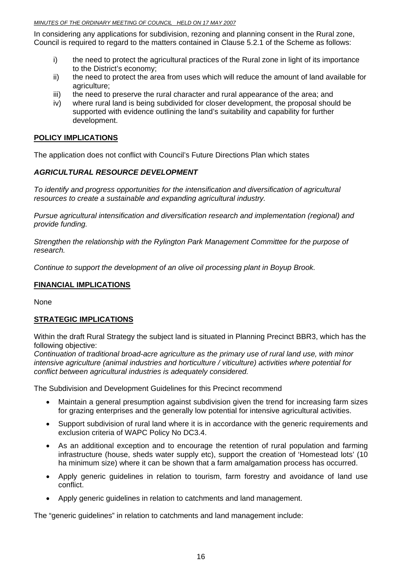In considering any applications for subdivision, rezoning and planning consent in the Rural zone, Council is required to regard to the matters contained in Clause 5.2.1 of the Scheme as follows:

- i) the need to protect the agricultural practices of the Rural zone in light of its importance to the District's economy;
- ii) the need to protect the area from uses which will reduce the amount of land available for agriculture;
- iii) the need to preserve the rural character and rural appearance of the area; and
- iv) where rural land is being subdivided for closer development, the proposal should be supported with evidence outlining the land's suitability and capability for further development.

# **POLICY IMPLICATIONS**

The application does not conflict with Council's Future Directions Plan which states

# *AGRICULTURAL RESOURCE DEVELOPMENT*

*To identify and progress opportunities for the intensification and diversification of agricultural resources to create a sustainable and expanding agricultural industry.* 

 *Pursue agricultural intensification and diversification research and implementation (regional) and provide funding.* 

 *Strengthen the relationship with the Rylington Park Management Committee for the purpose of research.* 

 *Continue to support the development of an olive oil processing plant in Boyup Brook.* 

# **FINANCIAL IMPLICATIONS**

None

# **STRATEGIC IMPLICATIONS**

Within the draft Rural Strategy the subject land is situated in Planning Precinct BBR3, which has the following objective:

*Continuation of traditional broad-acre agriculture as the primary use of rural land use, with minor intensive agriculture (animal industries and horticulture / viticulture) activities where potential for conflict between agricultural industries is adequately considered.* 

The Subdivision and Development Guidelines for this Precinct recommend

- Maintain a general presumption against subdivision given the trend for increasing farm sizes for grazing enterprises and the generally low potential for intensive agricultural activities.
- Support subdivision of rural land where it is in accordance with the generic requirements and exclusion criteria of WAPC Policy No DC3.4.
- As an additional exception and to encourage the retention of rural population and farming infrastructure (house, sheds water supply etc), support the creation of 'Homestead lots' (10 ha minimum size) where it can be shown that a farm amalgamation process has occurred.
- Apply generic guidelines in relation to tourism, farm forestry and avoidance of land use conflict.
- Apply generic guidelines in relation to catchments and land management.

The "generic guidelines" in relation to catchments and land management include: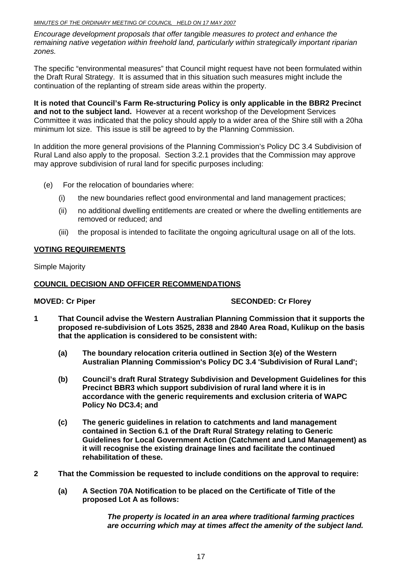### *MINUTES OF THE ORDINARY MEETING OF COUNCIL HELD ON 17 MAY 2007*

*Encourage development proposals that offer tangible measures to protect and enhance the remaining native vegetation within freehold land, particularly within strategically important riparian zones.* 

The specific "environmental measures" that Council might request have not been formulated within the Draft Rural Strategy. It is assumed that in this situation such measures might include the continuation of the replanting of stream side areas within the property.

**It is noted that Council's Farm Re-structuring Policy is only applicable in the BBR2 Precinct and not to the subject land.** However at a recent workshop of the Development Services Committee it was indicated that the policy should apply to a wider area of the Shire still with a 20ha minimum lot size. This issue is still be agreed to by the Planning Commission.

In addition the more general provisions of the Planning Commission's Policy DC 3.4 Subdivision of Rural Land also apply to the proposal. Section 3.2.1 provides that the Commission may approve may approve subdivision of rural land for specific purposes including:

- (e) For the relocation of boundaries where:
	- (i) the new boundaries reflect good environmental and land management practices;
	- (ii) no additional dwelling entitlements are created or where the dwelling entitlements are removed or reduced; and
	- (iii) the proposal is intended to facilitate the ongoing agricultural usage on all of the lots.

# **VOTING REQUIREMENTS**

Simple Majority

# **COUNCIL DECISION AND OFFICER RECOMMENDATIONS**

# **MOVED: Cr Piper SECONDED: Cr Florey**

- **1 That Council advise the Western Australian Planning Commission that it supports the proposed re-subdivision of Lots 3525, 2838 and 2840 Area Road, Kulikup on the basis that the application is considered to be consistent with:** 
	- **(a) The boundary relocation criteria outlined in Section 3(e) of the Western Australian Planning Commission's Policy DC 3.4 'Subdivision of Rural Land';**
	- **(b) Council's draft Rural Strategy Subdivision and Development Guidelines for this Precinct BBR3 which support subdivision of rural land where it is in accordance with the generic requirements and exclusion criteria of WAPC Policy No DC3.4; and**
	- **(c) The generic guidelines in relation to catchments and land management contained in Section 6.1 of the Draft Rural Strategy relating to Generic Guidelines for Local Government Action (Catchment and Land Management) as it will recognise the existing drainage lines and facilitate the continued rehabilitation of these.**
- **2 That the Commission be requested to include conditions on the approval to require:** 
	- **(a) A Section 70A Notification to be placed on the Certificate of Title of the proposed Lot A as follows:**

*The property is located in an area where traditional farming practices are occurring which may at times affect the amenity of the subject land.*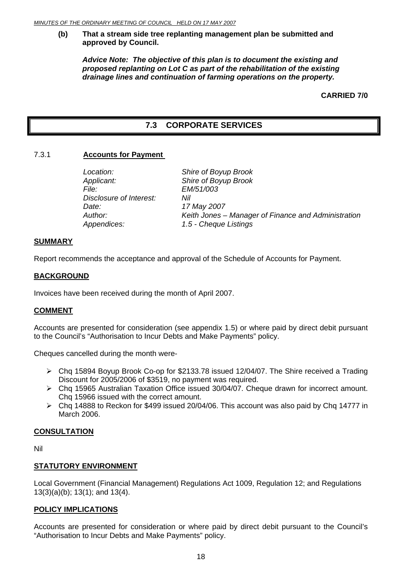# <span id="page-17-0"></span>**(b) That a stream side tree replanting management plan be submitted and approved by Council.**

*Advice Note: The objective of this plan is to document the existing and proposed replanting on Lot C as part of the rehabilitation of the existing drainage lines and continuation of farming operations on the property.* 

**CARRIED 7/0** 

# **7.3 CORPORATE SERVICES**

# 7.3.1 **Accounts for Payment**

| Shire of Boyup Brook                                |
|-----------------------------------------------------|
| Shire of Boyup Brook                                |
| EM/51/003                                           |
| Nil                                                 |
| 17 May 2007                                         |
| Keith Jones - Manager of Finance and Administration |
| 1.5 - Cheque Listings                               |
|                                                     |

# **SUMMARY**

Report recommends the acceptance and approval of the Schedule of Accounts for Payment.

# **BACKGROUND**

Invoices have been received during the month of April 2007.

# **COMMENT**

Accounts are presented for consideration (see appendix 1.5) or where paid by direct debit pursuant to the Council's "Authorisation to Incur Debts and Make Payments" policy.

Cheques cancelled during the month were-

- $\geq$  Cha 15894 Boyup Brook Co-op for \$2133.78 issued 12/04/07. The Shire received a Trading Discount for 2005/2006 of \$3519, no payment was required.
- ¾ Chq 15965 Australian Taxation Office issued 30/04/07. Cheque drawn for incorrect amount. Chq 15966 issued with the correct amount.
- ¾ Chq 14888 to Reckon for \$499 issued 20/04/06. This account was also paid by Chq 14777 in March 2006.

# **CONSULTATION**

Nil

# **STATUTORY ENVIRONMENT**

Local Government (Financial Management) Regulations Act 1009, Regulation 12; and Regulations 13(3)(a)(b); 13(1); and 13(4).

# **POLICY IMPLICATIONS**

Accounts are presented for consideration or where paid by direct debit pursuant to the Council's "Authorisation to Incur Debts and Make Payments" policy.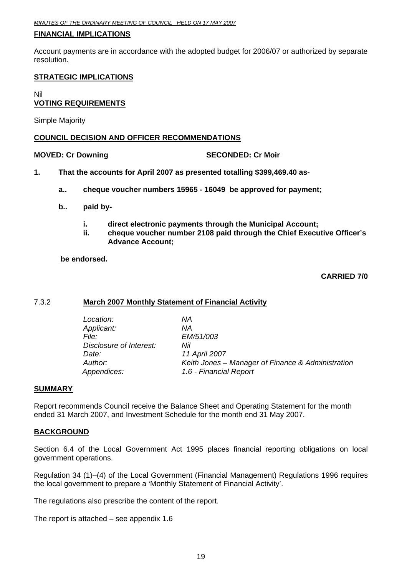# <span id="page-18-0"></span>**FINANCIAL IMPLICATIONS**

Account payments are in accordance with the adopted budget for 2006/07 or authorized by separate resolution.

# **STRATEGIC IMPLICATIONS**

Nil

# **VOTING REQUIREMENTS**

Simple Majority

# **COUNCIL DECISION AND OFFICER RECOMMENDATIONS**

# **MOVED: Cr Downing Case Conducts Account SECONDED: Cr Moir**

- **1. That the accounts for April 2007 as presented totalling \$399,469.40 as**
	- **a.. cheque voucher numbers 15965 16049 be approved for payment;**
	- **b.. paid by** 
		- **i. direct electronic payments through the Municipal Account;**
		- **ii. cheque voucher number 2108 paid through the Chief Executive Officer's Advance Account;**

# **be endorsed.**

# **CARRIED 7/0**

# 7.3.2 **March 2007 Monthly Statement of Financial Activity**

| Location:<br>Applicant:<br>File:<br>Disclosure of Interest:<br>Date: | ΝA<br>ΝA<br>EM/51/003<br>Nil<br>11 April 2007     |
|----------------------------------------------------------------------|---------------------------------------------------|
| Author:                                                              | Keith Jones – Manager of Finance & Administration |
| Appendices:                                                          | 1.6 - Financial Report                            |

# **SUMMARY**

Report recommends Council receive the Balance Sheet and Operating Statement for the month ended 31 March 2007, and Investment Schedule for the month end 31 May 2007.

# **BACKGROUND**

Section 6.4 of the Local Government Act 1995 places financial reporting obligations on local government operations.

Regulation 34 (1)–(4) of the Local Government (Financial Management) Regulations 1996 requires the local government to prepare a 'Monthly Statement of Financial Activity'.

The regulations also prescribe the content of the report.

The report is attached – see appendix 1.6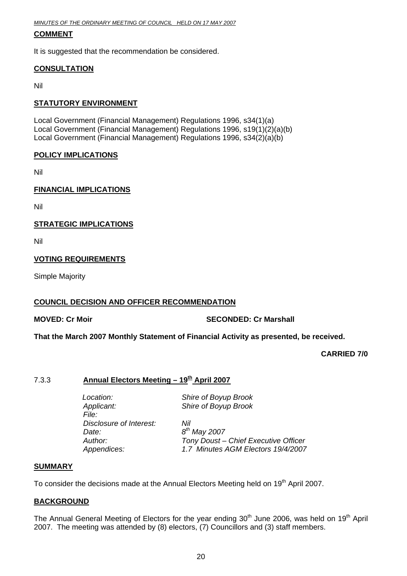<span id="page-19-0"></span>*MINUTES OF THE ORDINARY MEETING OF COUNCIL HELD ON 17 MAY 2007*

# **COMMENT**

It is suggested that the recommendation be considered.

# **CONSULTATION**

Nil

# **STATUTORY ENVIRONMENT**

Local Government (Financial Management) Regulations 1996, s34(1)(a) Local Government (Financial Management) Regulations 1996, s19(1)(2)(a)(b) Local Government (Financial Management) Regulations 1996, s34(2)(a)(b)

# **POLICY IMPLICATIONS**

Nil

# **FINANCIAL IMPLICATIONS**

Nil

# **STRATEGIC IMPLICATIONS**

Nil

# **VOTING REQUIREMENTS**

Simple Majority

# **COUNCIL DECISION AND OFFICER RECOMMENDATION**

**MOVED: Cr Moir SECONDED: Cr Marshall SECONDED: Cr Marshall** 

**That the March 2007 Monthly Statement of Financial Activity as presented, be received.** 

# **CARRIED 7/0**

# 7.3.3 **Annual Electors Meeting – 19th April 2007**

*Applicant: Shire of Boyup Brook File: Disclosure of Interest: Nil Date: 8th May 2007* 

*Location: Shire of Boyup Brook* 

*Author: Tony Doust – Chief Executive Officer Appendices: 1.7 Minutes AGM Electors 19/4/2007* 

# **SUMMARY**

To consider the decisions made at the Annual Electors Meeting held on 19<sup>th</sup> April 2007.

# **BACKGROUND**

The Annual General Meeting of Electors for the year ending 30<sup>th</sup> June 2006, was held on 19<sup>th</sup> April 2007. The meeting was attended by (8) electors, (7) Councillors and (3) staff members.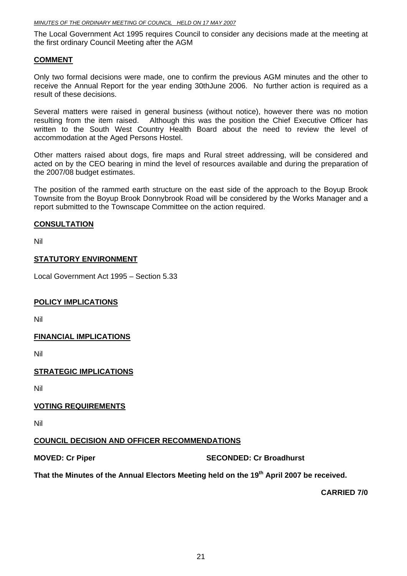The Local Government Act 1995 requires Council to consider any decisions made at the meeting at the first ordinary Council Meeting after the AGM

# **COMMENT**

Only two formal decisions were made, one to confirm the previous AGM minutes and the other to receive the Annual Report for the year ending 30thJune 2006. No further action is required as a result of these decisions.

Several matters were raised in general business (without notice), however there was no motion resulting from the item raised. Although this was the position the Chief Executive Officer has written to the South West Country Health Board about the need to review the level of accommodation at the Aged Persons Hostel.

Other matters raised about dogs, fire maps and Rural street addressing, will be considered and acted on by the CEO bearing in mind the level of resources available and during the preparation of the 2007/08 budget estimates.

The position of the rammed earth structure on the east side of the approach to the Boyup Brook Townsite from the Boyup Brook Donnybrook Road will be considered by the Works Manager and a report submitted to the Townscape Committee on the action required.

# **CONSULTATION**

Nil

# **STATUTORY ENVIRONMENT**

Local Government Act 1995 – Section 5.33

# **POLICY IMPLICATIONS**

Nil

# **FINANCIAL IMPLICATIONS**

Nil

# **STRATEGIC IMPLICATIONS**

Nil

# **VOTING REQUIREMENTS**

Nil

# **COUNCIL DECISION AND OFFICER RECOMMENDATIONS**

**MOVED: Cr Piper SECONDED: Cr Broadhurst** 

That the Minutes of the Annual Electors Meeting held on the 19<sup>th</sup> April 2007 be received.

**CARRIED 7/0**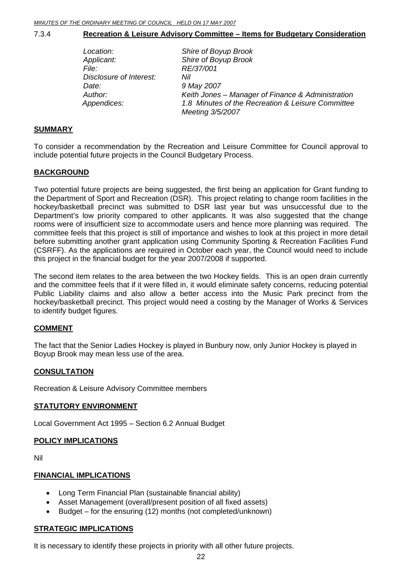# <span id="page-21-0"></span>7.3.4 **Recreation & Leisure Advisory Committee – Items for Budgetary Consideration**

| Location:               | Shire of Boyup Brook                                                                                                       |
|-------------------------|----------------------------------------------------------------------------------------------------------------------------|
| Applicant:              | Shire of Boyup Brook                                                                                                       |
| <i>File:</i>            | RE/37/001                                                                                                                  |
| Disclosure of Interest: | Nil                                                                                                                        |
| Date:                   | 9 May 2007                                                                                                                 |
| Author:<br>Appendices:  | Keith Jones – Manager of Finance & Administration<br>1.8 Minutes of the Recreation & Leisure Committee<br>Meeting 3/5/2007 |

# **SUMMARY**

To consider a recommendation by the Recreation and Leisure Committee for Council approval to include potential future projects in the Council Budgetary Process.

# **BACKGROUND**

Two potential future projects are being suggested, the first being an application for Grant funding to the Department of Sport and Recreation (DSR). This project relating to change room facilities in the hockey/basketball precinct was submitted to DSR last year but was unsuccessful due to the Department's low priority compared to other applicants. It was also suggested that the change rooms were of insufficient size to accommodate users and hence more planning was required. The committee feels that this project is still of importance and wishes to look at this project in more detail before submitting another grant application using Community Sporting & Recreation Facilities Fund (CSRFF). As the applications are required in October each year, the Council would need to include this project in the financial budget for the year 2007/2008 if supported.

The second item relates to the area between the two Hockey fields. This is an open drain currently and the committee feels that if it were filled in, it would eliminate safety concerns, reducing potential Public Liability claims and also allow a better access into the Music Park precinct from the hockey/basketball precinct. This project would need a costing by the Manager of Works & Services to identify budget figures.

# **COMMENT**

The fact that the Senior Ladies Hockey is played in Bunbury now, only Junior Hockey is played in Boyup Brook may mean less use of the area.

# **CONSULTATION**

Recreation & Leisure Advisory Committee members

# **STATUTORY ENVIRONMENT**

Local Government Act 1995 – Section 6.2 Annual Budget

# **POLICY IMPLICATIONS**

Nil

# **FINANCIAL IMPLICATIONS**

- Long Term Financial Plan (sustainable financial ability)
- Asset Management (overall/present position of all fixed assets)
- Budget for the ensuring (12) months (not completed/unknown)

# **STRATEGIC IMPLICATIONS**

It is necessary to identify these projects in priority with all other future projects.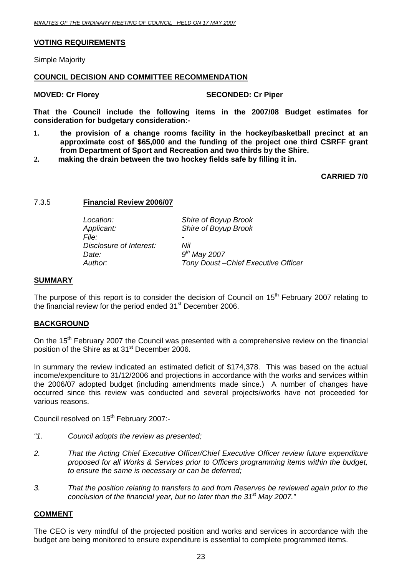# <span id="page-22-0"></span>**VOTING REQUIREMENTS**

Simple Majority

# **COUNCIL DECISION AND COMMITTEE RECOMMENDATION**

### **MOVED: Cr Florey SECONDED: Cr Piper**

**That the Council include the following items in the 2007/08 Budget estimates for consideration for budgetary consideration:-** 

- **1. the provision of a change rooms facility in the hockey/basketball precinct at an approximate cost of \$65,000 and the funding of the project one third CSRFF grant from Department of Sport and Recreation and two thirds by the Shire.**
- **2. making the drain between the two hockey fields safe by filling it in.**

**CARRIED 7/0** 

# 7.3.5 **Financial Review 2006/07**

 *Location: Shire of Boyup Brook Applicant: Shire of Boyup Brook File: - Disclosure of Interest: Nil Date: 9th May 2007 Author: Tony Doust –Chief Executive Officer* 

### **SUMMARY**

The purpose of this report is to consider the decision of Council on 15<sup>th</sup> February 2007 relating to the financial review for the period ended 31<sup>st</sup> December 2006.

# **BACKGROUND**

On the 15<sup>th</sup> February 2007 the Council was presented with a comprehensive review on the financial position of the Shire as at 31<sup>st</sup> December 2006.

In summary the review indicated an estimated deficit of \$174,378. This was based on the actual income/expenditure to 31/12/2006 and projections in accordance with the works and services within the 2006/07 adopted budget (including amendments made since.) A number of changes have occurred since this review was conducted and several projects/works have not proceeded for various reasons.

Council resolved on 15<sup>th</sup> February 2007:-

- *"1. Council adopts the review as presented;*
- *2. That the Acting Chief Executive Officer/Chief Executive Officer review future expenditure proposed for all Works & Services prior to Officers programming items within the budget, to ensure the same is necessary or can be deferred;*
- *3. That the position relating to transfers to and from Reserves be reviewed again prior to the conclusion of the financial year, but no later than the 31st May 2007."*

# **COMMENT**

The CEO is very mindful of the projected position and works and services in accordance with the budget are being monitored to ensure expenditure is essential to complete programmed items.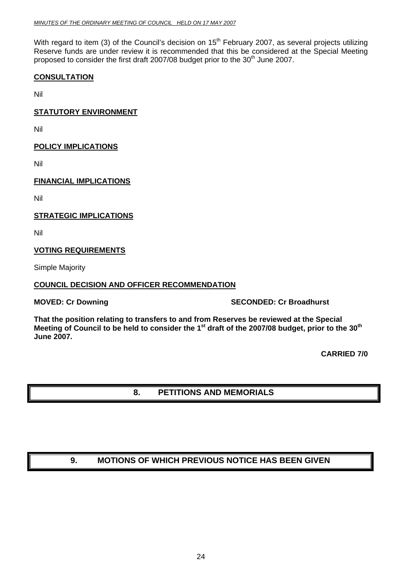<span id="page-23-0"></span>With regard to item (3) of the Council's decision on 15<sup>th</sup> February 2007, as several projects utilizing Reserve funds are under review it is recommended that this be considered at the Special Meeting proposed to consider the first draft 2007/08 budget prior to the 30<sup>th</sup> June 2007.

# **CONSULTATION**

Nil

# **STATUTORY ENVIRONMENT**

Nil

# **POLICY IMPLICATIONS**

Nil

# **FINANCIAL IMPLICATIONS**

Nil

**STRATEGIC IMPLICATIONS**

Nil

# **VOTING REQUIREMENTS**

Simple Majority

# **COUNCIL DECISION AND OFFICER RECOMMENDATION**

**MOVED: Cr Downing Case Conduct 2 SECONDED: Cr Broadhurst** 

**That the position relating to transfers to and from Reserves be reviewed at the Special**  Meeting of Council to be held to consider the 1<sup>st</sup> draft of the 2007/08 budget, prior to the 30<sup>th</sup> **June 2007.** 

**CARRIED 7/0** 

# **8. PETITIONS AND MEMORIALS**

# **9. MOTIONS OF WHICH PREVIOUS NOTICE HAS BEEN GIVEN**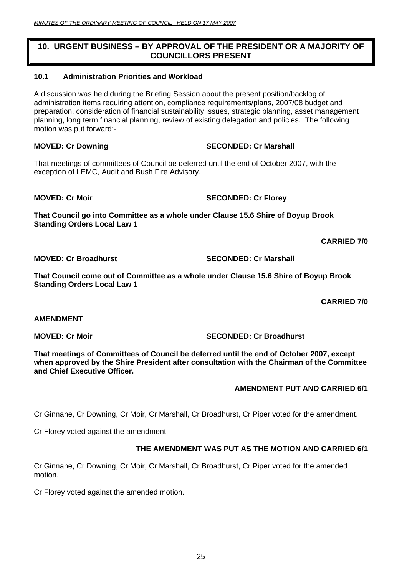# <span id="page-24-0"></span>**10. URGENT BUSINESS – BY APPROVAL OF THE PRESIDENT OR A MAJORITY OF COUNCILLORS PRESENT**

# **10.1 Administration Priorities and Workload**

A discussion was held during the Briefing Session about the present position/backlog of administration items requiring attention, compliance requirements/plans, 2007/08 budget and preparation, consideration of financial sustainability issues, strategic planning, asset management planning, long term financial planning, review of existing delegation and policies. The following motion was put forward:-

# **MOVED: Cr Downing CREAD SECONDED: Cr Marshall**

That meetings of committees of Council be deferred until the end of October 2007, with the exception of LEMC, Audit and Bush Fire Advisory.

**MOVED: Cr Moir** SECONDED: Cr Florey

**That Council go into Committee as a whole under Clause 15.6 Shire of Boyup Brook Standing Orders Local Law 1** 

**CARRIED 7/0** 

**MOVED: Cr Broadhurst SECONDED: Cr Marshall** 

**That Council come out of Committee as a whole under Clause 15.6 Shire of Boyup Brook Standing Orders Local Law 1** 

**CARRIED 7/0** 

# **AMENDMENT**

**MOVED: Cr Moir SECONDED: Cr Broadhurst SECONDED: Cr Broadhurst** 

**That meetings of Committees of Council be deferred until the end of October 2007, except when approved by the Shire President after consultation with the Chairman of the Committee and Chief Executive Officer.** 

# **AMENDMENT PUT AND CARRIED 6/1**

Cr Ginnane, Cr Downing, Cr Moir, Cr Marshall, Cr Broadhurst, Cr Piper voted for the amendment.

Cr Florey voted against the amendment

# **THE AMENDMENT WAS PUT AS THE MOTION AND CARRIED 6/1**

Cr Ginnane, Cr Downing, Cr Moir, Cr Marshall, Cr Broadhurst, Cr Piper voted for the amended motion.

Cr Florey voted against the amended motion.